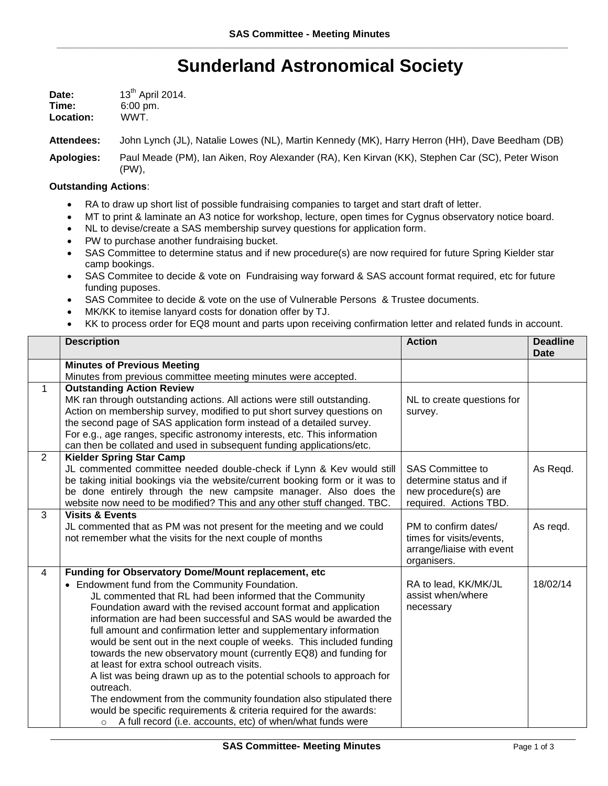## **Sunderland Astronomical Society**

| Date:     | 13 <sup>th</sup> April 2014. |
|-----------|------------------------------|
| Time:     | $6:00 \text{ pm}$ .          |
| Location: | WWT.                         |

**Attendees:** John Lynch (JL), Natalie Lowes (NL), Martin Kennedy (MK), Harry Herron (HH), Dave Beedham (DB)

**Apologies:** Paul Meade (PM), Ian Aiken, Roy Alexander (RA), Ken Kirvan (KK), Stephen Car (SC), Peter Wison (PW),

## **Outstanding Actions**:

- RA to draw up short list of possible fundraising companies to target and start draft of letter.
- MT to print & laminate an A3 notice for workshop, lecture, open times for Cygnus observatory notice board.
- NL to devise/create a SAS membership survey questions for application form.
- PW to purchase another fundraising bucket.
- SAS Committee to determine status and if new procedure(s) are now required for future Spring Kielder star camp bookings.
- SAS Commitee to decide & vote on Fundraising way forward & SAS account format required, etc for future funding puposes.
- SAS Commitee to decide & vote on the use of Vulnerable Persons & Trustee documents.
- MK/KK to itemise lanyard costs for donation offer by TJ.
- KK to process order for EQ8 mount and parts upon receiving confirmation letter and related funds in account.

|                | <b>Description</b>                                                                                                                                   | <b>Action</b>              | <b>Deadline</b> |
|----------------|------------------------------------------------------------------------------------------------------------------------------------------------------|----------------------------|-----------------|
|                |                                                                                                                                                      |                            | <b>Date</b>     |
|                | <b>Minutes of Previous Meeting</b>                                                                                                                   |                            |                 |
|                | Minutes from previous committee meeting minutes were accepted.                                                                                       |                            |                 |
| $\mathbf{1}$   | <b>Outstanding Action Review</b>                                                                                                                     |                            |                 |
|                | MK ran through outstanding actions. All actions were still outstanding.                                                                              | NL to create questions for |                 |
|                | Action on membership survey, modified to put short survey questions on                                                                               | survey.                    |                 |
|                | the second page of SAS application form instead of a detailed survey.                                                                                |                            |                 |
|                | For e.g., age ranges, specific astronomy interests, etc. This information                                                                            |                            |                 |
|                | can then be collated and used in subsequent funding applications/etc.                                                                                |                            |                 |
| $\overline{2}$ | <b>Kielder Spring Star Camp</b>                                                                                                                      | <b>SAS Committee to</b>    |                 |
|                | JL commented committee needed double-check if Lynn & Kev would still<br>be taking initial bookings via the website/current booking form or it was to | determine status and if    | As Regd.        |
|                | be done entirely through the new campsite manager. Also does the                                                                                     | new procedure(s) are       |                 |
|                | website now need to be modified? This and any other stuff changed. TBC.                                                                              | required. Actions TBD.     |                 |
| 3              | <b>Visits &amp; Events</b>                                                                                                                           |                            |                 |
|                | JL commented that as PM was not present for the meeting and we could                                                                                 | PM to confirm dates/       | As regd.        |
|                | not remember what the visits for the next couple of months                                                                                           | times for visits/events,   |                 |
|                |                                                                                                                                                      | arrange/liaise with event  |                 |
|                |                                                                                                                                                      | organisers.                |                 |
| $\overline{4}$ | Funding for Observatory Dome/Mount replacement, etc                                                                                                  |                            |                 |
|                | • Endowment fund from the Community Foundation.                                                                                                      | RA to lead, KK/MK/JL       | 18/02/14        |
|                | JL commented that RL had been informed that the Community                                                                                            | assist when/where          |                 |
|                | Foundation award with the revised account format and application                                                                                     | necessary                  |                 |
|                | information are had been successful and SAS would be awarded the                                                                                     |                            |                 |
|                | full amount and confirmation letter and supplementary information                                                                                    |                            |                 |
|                | would be sent out in the next couple of weeks. This included funding                                                                                 |                            |                 |
|                | towards the new observatory mount (currently EQ8) and funding for                                                                                    |                            |                 |
|                | at least for extra school outreach visits.                                                                                                           |                            |                 |
|                | A list was being drawn up as to the potential schools to approach for                                                                                |                            |                 |
|                | outreach.                                                                                                                                            |                            |                 |
|                | The endowment from the community foundation also stipulated there                                                                                    |                            |                 |
|                | would be specific requirements & criteria required for the awards:                                                                                   |                            |                 |
|                | A full record (i.e. accounts, etc) of when/what funds were<br>$\circ$                                                                                |                            |                 |

\_\_\_\_\_\_\_\_\_\_\_\_\_\_\_\_\_\_\_\_\_\_\_\_\_\_\_\_\_\_\_\_\_\_\_\_\_\_\_\_\_\_\_\_\_\_\_\_\_\_\_\_\_\_\_\_\_\_\_\_\_\_\_\_\_\_\_\_\_\_\_\_\_\_\_\_\_\_\_\_\_\_\_\_\_\_\_\_\_\_\_\_\_\_\_\_\_\_\_\_\_\_\_\_\_\_\_\_\_\_\_\_\_\_\_\_\_\_\_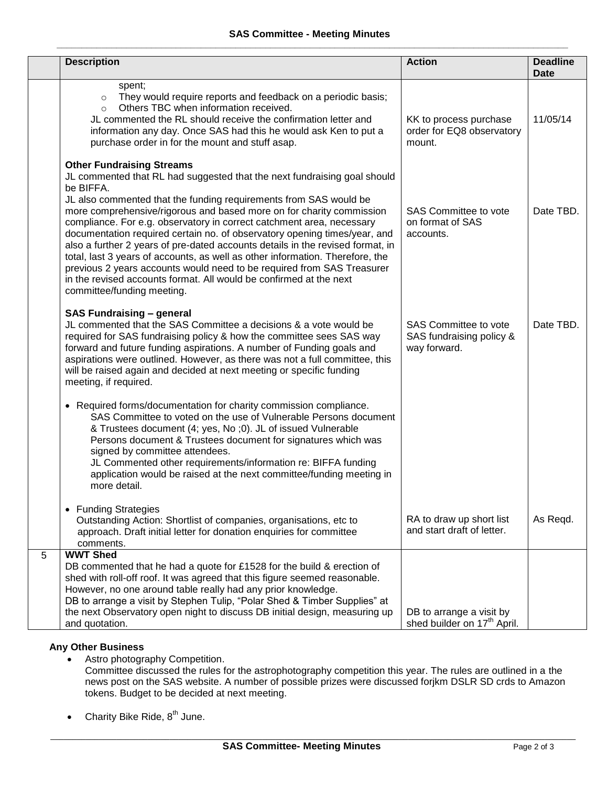|                | <b>Description</b>                                                                                                                                                                                                                                                                                                                                                                                                                                                                                                                                                                                                                                                                                                                                                            | <b>Action</b>                                                            | <b>Deadline</b><br><b>Date</b> |
|----------------|-------------------------------------------------------------------------------------------------------------------------------------------------------------------------------------------------------------------------------------------------------------------------------------------------------------------------------------------------------------------------------------------------------------------------------------------------------------------------------------------------------------------------------------------------------------------------------------------------------------------------------------------------------------------------------------------------------------------------------------------------------------------------------|--------------------------------------------------------------------------|--------------------------------|
|                | spent;<br>They would require reports and feedback on a periodic basis;<br>$\circ$<br>Others TBC when information received.<br>$\circ$<br>JL commented the RL should receive the confirmation letter and<br>information any day. Once SAS had this he would ask Ken to put a<br>purchase order in for the mount and stuff asap.                                                                                                                                                                                                                                                                                                                                                                                                                                                | KK to process purchase<br>order for EQ8 observatory<br>mount.            | 11/05/14                       |
|                | <b>Other Fundraising Streams</b><br>JL commented that RL had suggested that the next fundraising goal should<br>be BIFFA.<br>JL also commented that the funding requirements from SAS would be<br>more comprehensive/rigorous and based more on for charity commission<br>compliance. For e.g. observatory in correct catchment area, necessary<br>documentation required certain no. of observatory opening times/year, and<br>also a further 2 years of pre-dated accounts details in the revised format, in<br>total, last 3 years of accounts, as well as other information. Therefore, the<br>previous 2 years accounts would need to be required from SAS Treasurer<br>in the revised accounts format. All would be confirmed at the next<br>committee/funding meeting. | <b>SAS Committee to vote</b><br>on format of SAS<br>accounts.            | Date TBD.                      |
|                | <b>SAS Fundraising - general</b><br>JL commented that the SAS Committee a decisions & a vote would be<br>required for SAS fundraising policy & how the committee sees SAS way<br>forward and future funding aspirations. A number of Funding goals and<br>aspirations were outlined. However, as there was not a full committee, this<br>will be raised again and decided at next meeting or specific funding<br>meeting, if required.                                                                                                                                                                                                                                                                                                                                        | <b>SAS Committee to vote</b><br>SAS fundraising policy &<br>way forward. | Date TBD.                      |
|                | Required forms/documentation for charity commission compliance.<br>$\bullet$<br>SAS Committee to voted on the use of Vulnerable Persons document<br>& Trustees document (4; yes, No ;0). JL of issued Vulnerable<br>Persons document & Trustees document for signatures which was<br>signed by committee attendees.<br>JL Commented other requirements/information re: BIFFA funding<br>application would be raised at the next committee/funding meeting in<br>more detail.                                                                                                                                                                                                                                                                                                  |                                                                          |                                |
|                | <b>Funding Strategies</b><br>$\bullet$<br>Outstanding Action: Shortlist of companies, organisations, etc to<br>approach. Draft initial letter for donation enquiries for committee<br>comments.                                                                                                                                                                                                                                                                                                                                                                                                                                                                                                                                                                               | RA to draw up short list<br>and start draft of letter.                   | As Regd.                       |
| $\overline{5}$ | <b>WWT Shed</b><br>DB commented that he had a quote for £1528 for the build & erection of<br>shed with roll-off roof. It was agreed that this figure seemed reasonable.<br>However, no one around table really had any prior knowledge.<br>DB to arrange a visit by Stephen Tulip, "Polar Shed & Timber Supplies" at<br>the next Observatory open night to discuss DB initial design, measuring up<br>and quotation.                                                                                                                                                                                                                                                                                                                                                          | DB to arrange a visit by<br>shed builder on 17 <sup>th</sup> April.      |                                |

## **Any Other Business**

- Astro photography Competition. Committee discussed the rules for the astrophotography competition this year. The rules are outlined in a the news post on the SAS website. A number of possible prizes were discussed forjkm DSLR SD crds to Amazon tokens. Budget to be decided at next meeting.
- Charity Bike Ride,  $8^{th}$  June.

\_\_\_\_\_\_\_\_\_\_\_\_\_\_\_\_\_\_\_\_\_\_\_\_\_\_\_\_\_\_\_\_\_\_\_\_\_\_\_\_\_\_\_\_\_\_\_\_\_\_\_\_\_\_\_\_\_\_\_\_\_\_\_\_\_\_\_\_\_\_\_\_\_\_\_\_\_\_\_\_\_\_\_\_\_\_\_\_\_\_\_\_\_\_\_\_\_\_\_\_\_\_\_\_\_\_\_\_\_\_\_\_\_\_\_\_\_\_\_